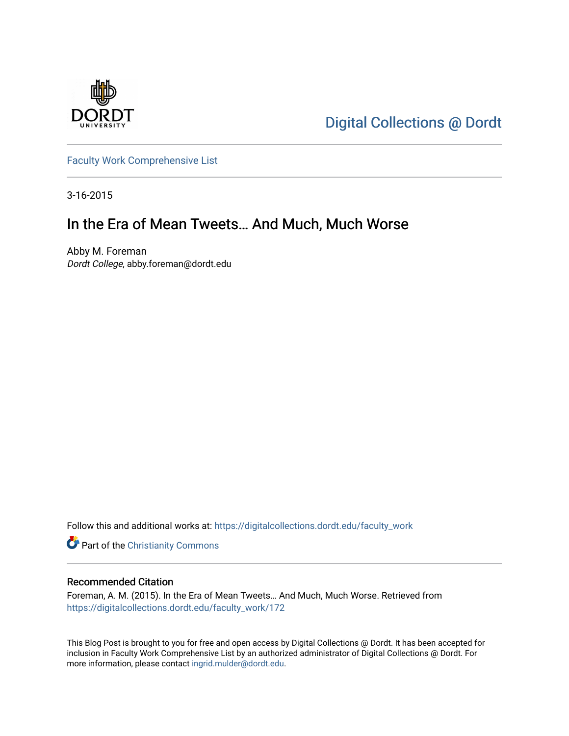

[Digital Collections @ Dordt](https://digitalcollections.dordt.edu/) 

[Faculty Work Comprehensive List](https://digitalcollections.dordt.edu/faculty_work)

3-16-2015

## In the Era of Mean Tweets… And Much, Much Worse

Abby M. Foreman Dordt College, abby.foreman@dordt.edu

Follow this and additional works at: [https://digitalcollections.dordt.edu/faculty\\_work](https://digitalcollections.dordt.edu/faculty_work?utm_source=digitalcollections.dordt.edu%2Ffaculty_work%2F172&utm_medium=PDF&utm_campaign=PDFCoverPages) 

Part of the [Christianity Commons](http://network.bepress.com/hgg/discipline/1181?utm_source=digitalcollections.dordt.edu%2Ffaculty_work%2F172&utm_medium=PDF&utm_campaign=PDFCoverPages) 

#### Recommended Citation

Foreman, A. M. (2015). In the Era of Mean Tweets… And Much, Much Worse. Retrieved from [https://digitalcollections.dordt.edu/faculty\\_work/172](https://digitalcollections.dordt.edu/faculty_work/172?utm_source=digitalcollections.dordt.edu%2Ffaculty_work%2F172&utm_medium=PDF&utm_campaign=PDFCoverPages) 

This Blog Post is brought to you for free and open access by Digital Collections @ Dordt. It has been accepted for inclusion in Faculty Work Comprehensive List by an authorized administrator of Digital Collections @ Dordt. For more information, please contact [ingrid.mulder@dordt.edu.](mailto:ingrid.mulder@dordt.edu)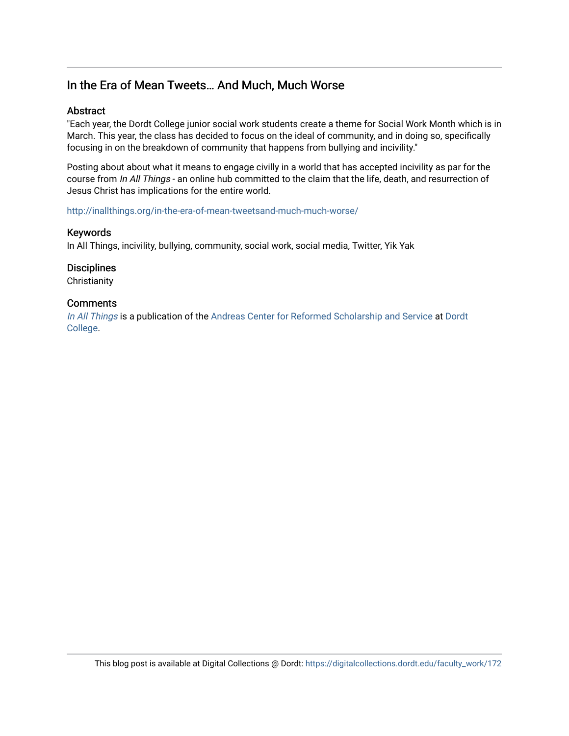### In the Era of Mean Tweets… And Much, Much Worse

#### **Abstract**

"Each year, the Dordt College junior social work students create a theme for Social Work Month which is in March. This year, the class has decided to focus on the ideal of community, and in doing so, specifically focusing in on the breakdown of community that happens from bullying and incivility."

Posting about about what it means to engage civilly in a world that has accepted incivility as par for the course from In All Things - an online hub committed to the claim that the life, death, and resurrection of Jesus Christ has implications for the entire world.

<http://inallthings.org/in-the-era-of-mean-tweetsand-much-much-worse/>

#### Keywords

In All Things, incivility, bullying, community, social work, social media, Twitter, Yik Yak

**Disciplines** 

**Christianity** 

#### **Comments**

[In All Things](http://inallthings.org/) is a publication of the [Andreas Center for Reformed Scholarship and Service](http://www.dordt.edu/services_support/andreas_center/) at Dordt [College](http://www.dordt.edu/).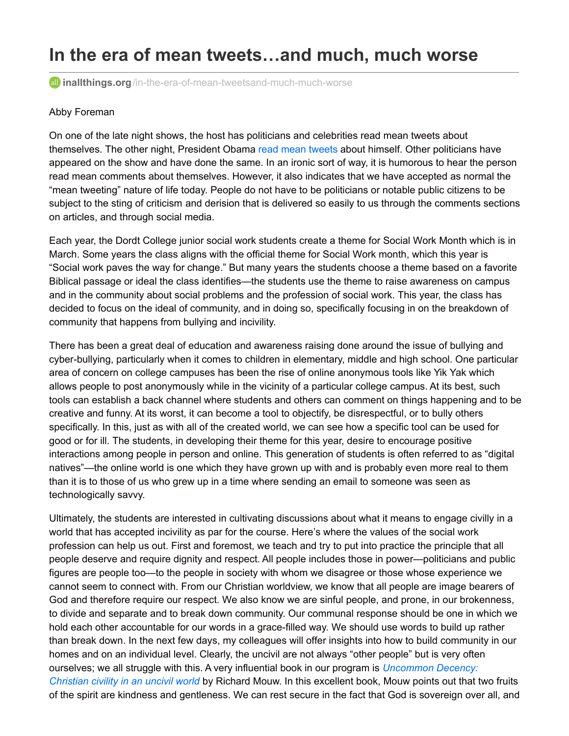# **In the era of mean tweets…and much, much worse**

**a** inallthings.org[/in-the-era-of-mean-tweetsand-much-much-worse](http://inallthings.org/in-the-era-of-mean-tweetsand-much-much-worse)

#### Abby Foreman

On one of the late night shows, the host has politicians and celebrities read mean tweets about themselves. The other night, President Obama read mean [tweets](https://youtu.be/RDocnbkHjhI) about himself. Other politicians have appeared on the show and have done the same. In an ironic sort of way, it is humorous to hear the person read mean comments about themselves. However, it also indicates that we have accepted as normal the "mean tweeting" nature of life today. People do not have to be politicians or notable public citizens to be subject to the sting of criticism and derision that is delivered so easily to us through the comments sections on articles, and through social media.

Each year, the Dordt College junior social work students create a theme for Social Work Month which is in March. Some years the class aligns with the official theme for Social Work month, which this year is "Social work paves the way for change." But many years the students choose a theme based on a favorite Biblical passage or ideal the class identifies—the students use the theme to raise awareness on campus and in the community about social problems and the profession of social work. This year, the class has decided to focus on the ideal of community, and in doing so, specifically focusing in on the breakdown of community that happens from bullying and incivility.

There has been a great deal of education and awareness raising done around the issue of bullying and cyber-bullying, particularly when it comes to children in elementary, middle and high school. One particular area of concern on college campuses has been the rise of online anonymous tools like Yik Yak which allows people to post anonymously while in the vicinity of a particular college campus. At its best, such tools can establish a back channel where students and others can comment on things happening and to be creative and funny. At its worst, it can become a tool to objectify, be disrespectful, or to bully others specifically. In this, just as with all of the created world, we can see how a specific tool can be used for good or for ill. The students, in developing their theme for this year, desire to encourage positive interactions among people in person and online. This generation of students is often referred to as "digital natives"—the online world is one which they have grown up with and is probably even more real to them than it is to those of us who grew up in a time where sending an email to someone was seen as technologically savvy.

Ultimately, the students are interested in cultivating discussions about what it means to engage civilly in a world that has accepted incivility as par for the course. Here's where the values of the social work profession can help us out. First and foremost, we teach and try to put into practice the principle that all people deserve and require dignity and respect. All people includes those in power—politicians and public figures are people too—to the people in society with whom we disagree or those whose experience we cannot seem to connect with. From our Christian worldview, we know that all people are image bearers of God and therefore require our respect. We also know we are sinful people, and prone, in our brokenness, to divide and separate and to break down community. Our communal response should be one in which we hold each other accountable for our words in a grace-filled way. We should use words to build up rather than break down. In the next few days, my colleagues will offer insights into how to build community in our homes and on an individual level. Clearly, the uncivil are not always "other people" but is very often ourselves; we all struggle with this. A very influential book in our program is *[Uncommon](http://www.worldcat.org/title/uncommon-decency-christian-civility-in-an-uncivil-world/oclc/25632531&referer=brief_results) Decency: Christian civility in an uncivil world* by Richard Mouw. In this excellent book, Mouw points out that two fruits of the spirit are kindness and gentleness. We can rest secure in the fact that God is sovereign over all, and